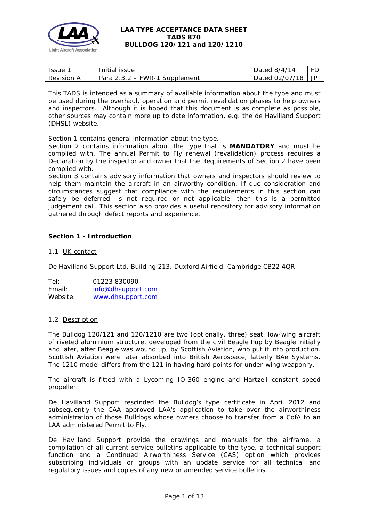

| <i>Issue</i>      | Initial issue                   | Dated 8/4/14     | FD   |
|-------------------|---------------------------------|------------------|------|
| <b>Revision A</b> | Para $2.3.2$ – FWR-1 Supplement | Dated $02/07/18$ | i JP |

This TADS is intended as a summary of available information about the type and must be used during the overhaul, operation and permit revalidation phases to help owners and inspectors. Although it is hoped that this document is as complete as possible, other sources may contain more up to date information, e.g. the de Havilland Support (DHSL) website.

Section 1 contains general information about the type.

Section 2 contains information about the type that is **MANDATORY** and must be complied with. The annual Permit to Fly renewal (revalidation) process requires a Declaration by the inspector and owner that the Requirements of Section 2 have been complied with.

Section 3 contains advisory information that owners and inspectors should review to help them maintain the aircraft in an airworthy condition. If due consideration and circumstances suggest that compliance with the requirements in this section can safely be deferred, is not required or not applicable, then this is a permitted judgement call. This section also provides a useful repository for advisory information gathered through defect reports and experience.

## **Section 1 - Introduction**

## 1.1 UK contact

De Havilland Support Ltd, Building 213, Duxford Airfield, Cambridge CB22 4QR

Tel: 01223 830090 Email: [info@dhsupport.com](mailto:info@dhsupport.com) Website: [www.dhsupport.com](http://www.dhsupport.com/)

## 1.2 Description

The Bulldog 120/121 and 120/1210 are two (optionally, three) seat, low-wing aircraft of riveted aluminium structure, developed from the civil Beagle Pup by Beagle initially and later, after Beagle was wound up, by Scottish Aviation, who put it into production. Scottish Aviation were later absorbed into British Aerospace, latterly BAe Systems. The 1210 model differs from the 121 in having hard points for under-wing weaponry.

The aircraft is fitted with a Lycoming IO-360 engine and Hartzell constant speed propeller.

De Havilland Support rescinded the Bulldog's type certificate in April 2012 and subsequently the CAA approved LAA's application to take over the airworthiness administration of those Bulldogs whose owners choose to transfer from a CofA to an LAA administered Permit to Fly.

De Havilland Support provide the drawings and manuals for the airframe, a compilation of all current service bulletins applicable to the type, a technical support function and a Continued Airworthiness Service (CAS) option which provides subscribing individuals or groups with an update service for all technical and regulatory issues and copies of any new or amended service bulletins.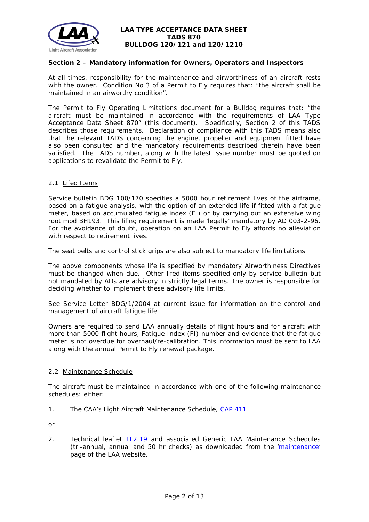

## **Section 2 – Mandatory information for Owners, Operators and Inspectors**

At all times, responsibility for the maintenance and airworthiness of an aircraft rests with the owner. Condition No 3 of a Permit to Fly requires that: *"the aircraft shall be maintained in an airworthy condition".* 

The Permit to Fly Operating Limitations document for a Bulldog requires that: *"the aircraft must be maintained in accordance with the requirements of LAA Type Acceptance Data Sheet 870"* (this document). Specifically, Section 2 of this TADS describes those requirements. Declaration of compliance with this TADS means also that the relevant TADS concerning the engine, propeller and equipment fitted have also been consulted and the mandatory requirements described therein have been satisfied. The TADS number, along with the latest issue number must be quoted on applications to revalidate the Permit to Fly.

### 2.1 Lifed Items

Service bulletin BDG 100/170 specifies a 5000 hour retirement lives of the airframe, based on a fatigue analysis, with the option of an extended life if fitted with a fatigue meter, based on accumulated fatigue index (FI) or by carrying out an extensive wing root mod BH193. This lifing requirement is made 'legally' mandatory by AD 003-2-96. For the avoidance of doubt, operation on an LAA Permit to Fly affords no alleviation with respect to retirement lives.

The seat belts and control stick grips are also subject to mandatory life limitations.

The above components whose life is specified by mandatory Airworthiness Directives must be changed when due. Other lifed items specified only by service bulletin but not mandated by ADs are advisory in strictly legal terms. The owner is responsible for deciding whether to implement these advisory life limits.

See Service Letter BDG/1/2004 at current issue for information on the control and management of aircraft fatigue life.

Owners are required to send LAA annually details of flight hours and for aircraft with more than 5000 flight hours, Fatigue Index (FI) number and evidence that the fatigue meter is not overdue for overhaul/re-calibration. This information must be sent to LAA along with the annual Permit to Fly renewal package.

## 2.2 Maintenance Schedule

The aircraft must be maintained in accordance with one of the following maintenance schedules: either:

1. The CAA's Light Aircraft Maintenance Schedule, [CAP 411](http://publicapps.caa.co.uk/docs/33/CAP411.PDF)

or

2. Technical leaflet [TL2.19](http://www.lightaircraftassociation.co.uk/engineering/TechnicalLeaflets/Operating%20An%20Aircraft/TL%202.19%20The%20LAA%20Generic%20Maintenance%20Schedule.pdf) and associated Generic LAA Maintenance Schedules (tri-annual, annual and 50 hr checks) as downloaded from the ['maintenance'](http://www.lightaircraftassociation.co.uk/engineering/Maintenance/Aircraft_Maintenance.html) page of the LAA website.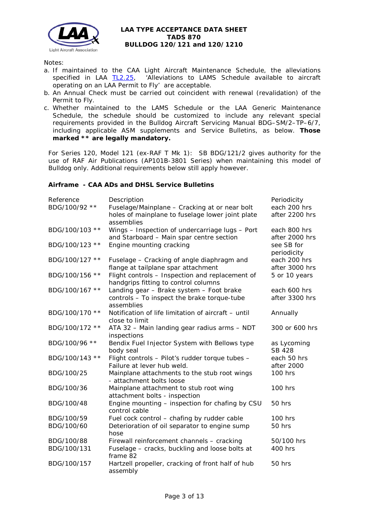

### Notes:

- a. If maintained to the CAA Light Aircraft Maintenance Schedule, the alleviations specified in LAA  $\underline{TL2.25}$ , 'Alleviations to LAMS Schedule available to aircraft operating on an LAA Permit to Fly' are acceptable.
- b. An Annual Check must be carried out coincident with renewal (revalidation) of the Permit to Fly.
- c. Whether maintained to the LAMS Schedule or the LAA Generic Maintenance Schedule, the schedule should be customized to include any relevant special requirements provided in the Bulldog Aircraft Servicing Manual BDG–SM/2–TP–6/7, including applicable ASM supplements and Service Bulletins, as below. **Those marked \*\* are legally mandatory.**

For Series 120, Model 121 (ex-RAF T Mk 1): SB BDG/121/2 gives authority for the use of RAF Air Publications (AP101B-3801 Series) when maintaining this model of Bulldog only. Additional requirements below still apply however.

### **Airframe - CAA ADs and DHSL Service Bulletins**

| Reference                 | Description                                                                                                     | Periodicity                    |
|---------------------------|-----------------------------------------------------------------------------------------------------------------|--------------------------------|
| BDG/100/92 **             | Fuselage/Mainplane - Cracking at or near bolt<br>holes of mainplane to fuselage lower joint plate<br>assemblies | each 200 hrs<br>after 2200 hrs |
| BDG/100/103 **            | Wings - Inspection of undercarriage lugs - Port<br>and Starboard - Main spar centre section                     | each 800 hrs<br>after 2000 hrs |
| BDG/100/123 **            | Engine mounting cracking                                                                                        | see SB for<br>periodicity      |
| BDG/100/127 **            | Fuselage - Cracking of angle diaphragm and<br>flange at tailplane spar attachment                               | each 200 hrs<br>after 3000 hrs |
| BDG/100/156 **            | Flight controls - Inspection and replacement of<br>handgrips fitting to control columns                         | 5 or 10 years                  |
| BDG/100/167 **            | Landing gear - Brake system - Foot brake<br>controls - To inspect the brake torque-tube<br>assemblies           | each 600 hrs<br>after 3300 hrs |
| BDG/100/170 **            | Notification of life limitation of aircraft - until<br>close to limit                                           | Annually                       |
| BDG/100/172 **            | ATA 32 - Main landing gear radius arms - NDT<br>inspections                                                     | 300 or 600 hrs                 |
| BDG/100/96 **             | Bendix Fuel Injector System with Bellows type<br>body seal                                                      | as Lycoming<br><b>SB 428</b>   |
| BDG/100/143 **            | Flight controls - Pilot's rudder torque tubes -<br>Failure at lever hub weld.                                   | each 50 hrs<br>after 2000      |
| BDG/100/25                | Mainplane attachments to the stub root wings<br>- attachment bolts loose                                        | 100 hrs                        |
| BDG/100/36                | Mainplane attachment to stub root wing<br>attachment bolts - inspection                                         | 100 hrs                        |
| BDG/100/48                | Engine mounting - inspection for chafing by CSU<br>control cable                                                | 50 hrs                         |
| BDG/100/59<br>BDG/100/60  | Fuel cock control - chafing by rudder cable<br>Deterioration of oil separator to engine sump<br>hose            | 100 hrs<br>50 hrs              |
| BDG/100/88<br>BDG/100/131 | Firewall reinforcement channels - cracking<br>Fuselage - cracks, buckling and loose bolts at<br>frame 82        | 50/100 hrs<br>400 hrs          |
| BDG/100/157               | Hartzell propeller, cracking of front half of hub<br>assembly                                                   | 50 hrs                         |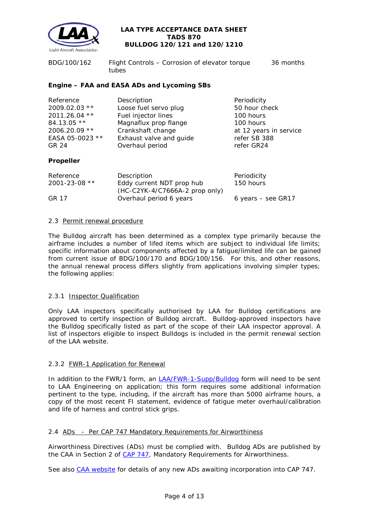

| BDG/100/162 | Flight Controls - Corrosion of elevator torque | 36 months |
|-------------|------------------------------------------------|-----------|
|             | tubes                                          |           |

## **Engine – FAA and EASA ADs and Lycoming SBs**

| Reference       | Description             | Periodicity            |
|-----------------|-------------------------|------------------------|
| 2009.02.03 **   | Loose fuel servo plug   | 50 hour check          |
| 2011.26.04 **   | Fuel injector lines     | 100 hours              |
| 84.13.05 **     | Magnaflux prop flange   | 100 hours              |
| 2006.20.09 **   | Crankshaft change       | at 12 years in service |
| EASA 05-0023 ** | Exhaust valve and guide | refer SB 388           |
| GR 24           | Overhaul period         | refer GR24             |
|                 |                         |                        |

## **Propeller**

| <i>Reference</i>    | Description                              | Periodicity          |
|---------------------|------------------------------------------|----------------------|
| $2001 - 23 - 08$ ** | Eddy current NDT prop hub                | 150 hours            |
|                     | $(HC-C2YK-4/C7666A-2 \text{ prop only})$ |                      |
| GR 17               | Overhaul period 6 years                  | 6 years $-$ see GR17 |

### 2.3 Permit renewal procedure

The Bulldog aircraft has been determined as a complex type primarily because the airframe includes a number of lifed items which are subject to individual life limits; specific information about components affected by a fatigue/limited life can be gained from current issue of BDG/100/170 and BDG/100/156. For this, and other reasons, the annual renewal process differs slightly from applications involving simpler types; the following applies:

## 2.3.1 Inspector Qualification

Only LAA inspectors specifically authorised by LAA for Bulldog certifications are approved to certify inspection of Bulldog aircraft. Bulldog-approved inspectors have the Bulldog specifically listed as part of the scope of their LAA inspector approval. A list of inspectors eligible to inspect Bulldogs is included in the permit renewal section of the LAA website.

## 2.3.2 FWR-1 Application for Renewal

In addition to the FWR/1 form, an **LAA/FWR-1-Supp/Bulldog** form will need to be sent to LAA Engineering on application; this form requires some additional information pertinent to the type, including, if the aircraft has more than 5000 airframe hours, a copy of the most recent FI statement, evidence of fatigue meter overhaul/calibration and life of harness and control stick grips.

#### 2.4 ADs - Per CAP 747 Mandatory Requirements for Airworthiness

Airworthiness Directives (ADs) must be complied with. Bulldog ADs are published by the CAA in Section 2 of [CAP 747,](http://www.caa.co.uk/docs/33/CAP747.pdf) Mandatory Requirements for Airworthiness.

See also [CAA website](http://www.caa.co.uk/application.aspx?catid=33&pagetype=65&appid=11&mode=list&type=sercat&id=58) for details of any new ADs awaiting incorporation into CAP 747.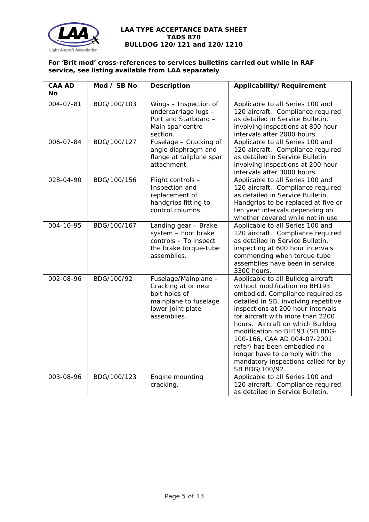

# **For 'Brit mod' cross-references to services bulletins carried out while in RAF service, see listing available from LAA separately**

| <b>CAA AD</b><br><b>No</b> | Mod / SB No | <b>Description</b>                                                                                                        | Applicability/Requirement                                                                                                                                                                                                                                                                                                                                                                                                                               |
|----------------------------|-------------|---------------------------------------------------------------------------------------------------------------------------|---------------------------------------------------------------------------------------------------------------------------------------------------------------------------------------------------------------------------------------------------------------------------------------------------------------------------------------------------------------------------------------------------------------------------------------------------------|
| 004-07-81                  | BDG/100/103 | Wings - Inspection of<br>undercarriage lugs -<br>Port and Starboard -<br>Main spar centre<br>section.                     | Applicable to all Series 100 and<br>120 aircraft. Compliance required<br>as detailed in Service Bulletin,<br>involving inspections at 800 hour<br>intervals after 2000 hours.                                                                                                                                                                                                                                                                           |
| 006-07-84                  | BDG/100/127 | Fuselage - Cracking of<br>angle diaphragm and<br>flange at tailplane spar<br>attachment.                                  | Applicable to all Series 100 and<br>120 aircraft. Compliance required<br>as detailed in Service Bulletin<br>involving inspections at 200 hour<br>intervals after 3000 hours.                                                                                                                                                                                                                                                                            |
| 028-04-90                  | BDG/100/156 | Flight controls -<br>Inspection and<br>replacement of<br>handgrips fitting to<br>control columns.                         | Applicable to all Series 100 and<br>120 aircraft. Compliance required<br>as detailed in Service Bulletin.<br>Handgrips to be replaced at five or<br>ten year intervals depending on<br>whether covered while not in use                                                                                                                                                                                                                                 |
| 004-10-95                  | BDG/100/167 | Landing gear - Brake<br>system - Foot brake<br>controls - To inspect<br>the brake torque-tube<br>assemblies.              | Applicable to all Series 100 and<br>120 aircraft. Compliance required<br>as detailed in Service Bulletin,<br>inspecting at 600 hour intervals<br>commencing when torque tube<br>assemblies have been in service<br>3300 hours.                                                                                                                                                                                                                          |
| 002-08-96                  | BDG/100/92  | Fuselage/Mainplane -<br>Cracking at or near<br>bolt holes of<br>mainplane to fuselage<br>lower joint plate<br>assemblies. | Applicable to all Bulldog aircraft<br>without modification no BH193<br>embodied. Compliance required as<br>detailed in SB, involving repetitive<br>inspections at 200 hour intervals<br>for aircraft with more than 2200<br>hours. Aircraft on which Bulldog<br>modification no BH193 (SB BDG-<br>100-166, CAA AD 004-07-2001<br>refer) has been embodied no<br>longer have to comply with the<br>mandatory inspections called for by<br>SB BDG/100/92. |
| 003-08-96                  | BDG/100/123 | Engine mounting<br>cracking.                                                                                              | Applicable to all Series 100 and<br>120 aircraft. Compliance required<br>as detailed in Service Bulletin.                                                                                                                                                                                                                                                                                                                                               |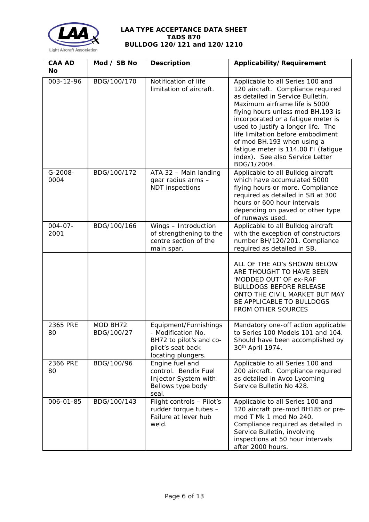

| <b>CAA AD</b><br>No  | Mod / SB No            | <b>Description</b>                                                                                                | Applicability/Requirement                                                                                                                                                                                                                                                                                                                                                                                               |
|----------------------|------------------------|-------------------------------------------------------------------------------------------------------------------|-------------------------------------------------------------------------------------------------------------------------------------------------------------------------------------------------------------------------------------------------------------------------------------------------------------------------------------------------------------------------------------------------------------------------|
| 003-12-96            | BDG/100/170            | Notification of life<br>limitation of aircraft.                                                                   | Applicable to all Series 100 and<br>120 aircraft. Compliance required<br>as detailed in Service Bulletin.<br>Maximum airframe life is 5000<br>flying hours unless mod BH.193 is<br>incorporated or a fatigue meter is<br>used to justify a longer life. The<br>life limitation before embodiment<br>of mod BH.193 when using a<br>fatigue meter is 114.00 FI (fatigue<br>index). See also Service Letter<br>BDG/1/2004. |
| G-2008-<br>0004      | BDG/100/172            | ATA 32 - Main landing<br>gear radius arms -<br><b>NDT</b> inspections                                             | Applicable to all Bulldog aircraft<br>which have accumulated 5000<br>flying hours or more. Compliance<br>required as detailed in SB at 300<br>hours or 600 hour intervals<br>depending on paved or other type<br>of runways used.                                                                                                                                                                                       |
| $004 - 07 -$<br>2001 | BDG/100/166            | Wings - Introduction<br>of strengthening to the<br>centre section of the<br>main spar.                            | Applicable to all Bulldog aircraft<br>with the exception of constructors<br>number BH/120/201. Compliance<br>required as detailed in SB.                                                                                                                                                                                                                                                                                |
|                      |                        |                                                                                                                   | ALL OF THE AD's SHOWN BELOW<br>ARE THOUGHT TO HAVE BEEN<br>'MODDED OUT' OF ex-RAF<br><b>BULLDOGS BEFORE RELEASE</b><br>ONTO THE CIVIL MARKET BUT MAY<br>BE APPLICABLE TO BULLDOGS<br><b>FROM OTHER SOURCES</b>                                                                                                                                                                                                          |
| 2365 PRE<br>80       | MOD BH72<br>BDG/100/27 | Equipment/Furnishings<br>- Modification No.<br>BH72 to pilot's and co-<br>pilot's seat back<br>locating plungers. | Mandatory one-off action applicable<br>to Series 100 Models 101 and 104.<br>Should have been accomplished by<br>30 <sup>th</sup> April 1974.                                                                                                                                                                                                                                                                            |
| 2366 PRE<br>80       | BDG/100/96             | Engine fuel and<br>control. Bendix Fuel<br>Injector System with<br>Bellows type body<br>seal.                     | Applicable to all Series 100 and<br>200 aircraft. Compliance required<br>as detailed in Avco Lycoming<br>Service Bulletin No 428.                                                                                                                                                                                                                                                                                       |
| 006-01-85            | BDG/100/143            | Flight controls - Pilot's<br>rudder torque tubes -<br>Failure at lever hub<br>weld.                               | Applicable to all Series 100 and<br>120 aircraft pre-mod BH185 or pre-<br>mod T Mk 1 mod No 240.<br>Compliance required as detailed in<br>Service Bulletin, involving<br>inspections at 50 hour intervals<br>after 2000 hours.                                                                                                                                                                                          |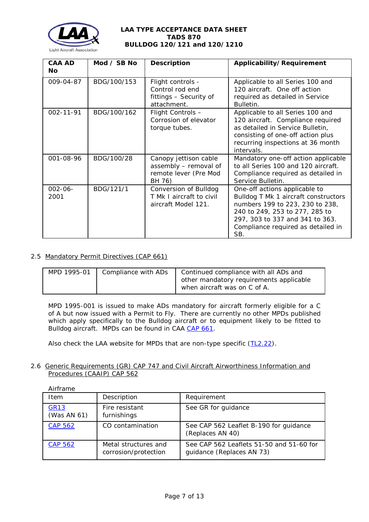

| <b>CAA AD</b><br><b>No</b> | Mod $\angle$ SB No | <b>Description</b>                                                                | Applicability/Requirement                                                                                                                                                                                                  |
|----------------------------|--------------------|-----------------------------------------------------------------------------------|----------------------------------------------------------------------------------------------------------------------------------------------------------------------------------------------------------------------------|
| 009-04-87                  | BDG/100/153        | Flight controls -<br>Control rod end<br>fittings - Security of<br>attachment.     | Applicable to all Series 100 and<br>120 aircraft. One off action<br>required as detailed in Service<br>Bulletin.                                                                                                           |
| 002-11-91                  | BDG/100/162        | Flight Controls -<br>Corrosion of elevator<br>torque tubes.                       | Applicable to all Series 100 and<br>120 aircraft. Compliance required<br>as detailed in Service Bulletin,<br>consisting of one-off action plus<br>recurring inspections at 36 month<br>intervals.                          |
| 001-08-96                  | BDG/100/28         | Canopy jettison cable<br>assembly - removal of<br>remote lever (Pre Mod<br>BH 76) | Mandatory one-off action applicable<br>to all Series 100 and 120 aircraft.<br>Compliance required as detailed in<br>Service Bulletin.                                                                                      |
| $002 - 06 -$<br>2001       | BDG/121/1          | Conversion of Bulldog<br>T Mk I aircraft to civil<br>aircraft Model 121.          | One-off actions applicable to<br>Bulldog T Mk 1 aircraft constructors<br>numbers 199 to 223, 230 to 238,<br>240 to 249, 253 to 277, 285 to<br>297, 303 to 337 and 341 to 363.<br>Compliance required as detailed in<br>SB. |

# 2.5 Mandatory Permit Directives (CAP 661)

| MPD 1995-01 | Compliance with ADs | Continued compliance with all ADs and   |
|-------------|---------------------|-----------------------------------------|
|             |                     | other mandatory requirements applicable |
|             |                     | when aircraft was on C of A.            |

MPD 1995-001 is issued to make ADs mandatory for aircraft formerly eligible for a C of A but now issued with a Permit to Fly. There are currently no other MPDs published which apply specifically to the Bulldog aircraft or to equipment likely to be fitted to Bulldog aircraft. MPDs can be found in CAA [CAP 661.](http://www.caa.co.uk/docs/33/CAP661.PDF)

Also check the LAA website for MPDs that are non-type specific [\(TL2.22\)](http://www.lightaircraftassociation.co.uk/engineering/TechnicalLeaflets/Operating%20An%20Aircraft/TL%202.22%20non-type%20specific%20MPDs.pdf).

### 2.6 Generic Requirements (GR) CAP 747 and Civil Aircraft Airworthiness Information and Procedures (CAAIP) CAP 562

| Airframe<br>Item           | Description                                  | Requirement                                                           |
|----------------------------|----------------------------------------------|-----------------------------------------------------------------------|
| <b>GR13</b><br>(Was AN 61) | Fire resistant<br>furnishings                | See GR for guidance                                                   |
| <b>CAP 562</b>             | CO contamination                             | See CAP 562 Leaflet B-190 for guidance<br>(Replaces AN 40)            |
| <b>CAP 562</b>             | Metal structures and<br>corrosion/protection | See CAP 562 Leaflets 51-50 and 51-60 for<br>guidance (Replaces AN 73) |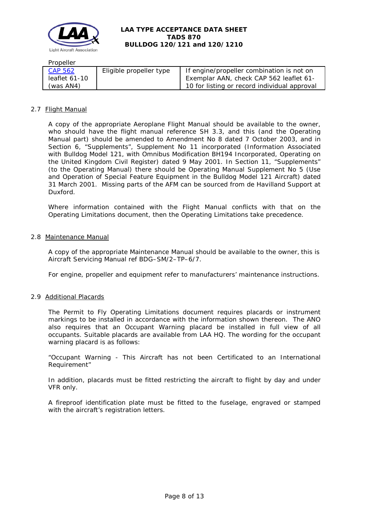

## Propeller

| CAP 562       | Eligible propeller type | If engine/propeller combination is not on    |
|---------------|-------------------------|----------------------------------------------|
| leaflet 61-10 |                         | Exemplar AAN, check CAP 562 leaflet 61-      |
| (was AN4)     |                         | 10 for listing or record individual approval |

### 2.7 Flight Manual

A copy of the appropriate Aeroplane Flight Manual should be available to the owner, who should have the flight manual reference SH 3.3, and this (and the Operating Manual part) should be amended to Amendment No 8 dated 7 October 2003, and in Section 6, "Supplements", Supplement No 11 incorporated (Information Associated with Bulldog Model 121, with Omnibus Modification BH194 Incorporated, Operating on the United Kingdom Civil Register) dated 9 May 2001. In Section 11, "Supplements" (to the Operating Manual) there should be Operating Manual Supplement No 5 (Use and Operation of Special Feature Equipment in the Bulldog Model 121 Aircraft) dated 31 March 2001. Missing parts of the AFM can be sourced from de Havilland Support at Duxford.

Where information contained with the Flight Manual conflicts with that on the Operating Limitations document, then the Operating Limitations take precedence.

#### 2.8 Maintenance Manual

A copy of the appropriate Maintenance Manual should be available to the owner, this is Aircraft Servicing Manual ref BDG–SM/2–TP–6/7.

For engine, propeller and equipment refer to manufacturers' maintenance instructions.

#### 2.9 Additional Placards

The Permit to Fly Operating Limitations document requires placards or instrument markings to be installed in accordance with the information shown thereon. The ANO also requires that an Occupant Warning placard be installed in full view of all occupants. Suitable placards are available from LAA HQ. The wording for the occupant warning placard is as follows:

"Occupant Warning - This Aircraft has not been Certificated to an International Requirement"

In addition, placards must be fitted restricting the aircraft to flight by day and under VFR only.

A fireproof identification plate must be fitted to the fuselage, engraved or stamped with the aircraft's registration letters.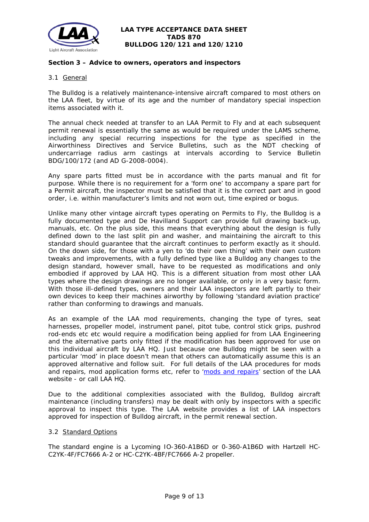

### **Section 3 – Advice to owners, operators and inspectors**

### 3.1 General

The Bulldog is a relatively maintenance-intensive aircraft compared to most others on the LAA fleet, by virtue of its age and the number of mandatory special inspection items associated with it.

The annual check needed at transfer to an LAA Permit to Fly and at each subsequent permit renewal is essentially the same as would be required under the LAMS scheme, including any special recurring inspections for the type as specified in the Airworthiness Directives and Service Bulletins, such as the NDT checking of undercarriage radius arm castings at intervals according to Service Bulletin BDG/100/172 (and AD G-2008-0004).

Any spare parts fitted must be in accordance with the parts manual and fit for purpose. While there is no requirement for a 'form one' to accompany a spare part for a Permit aircraft, the inspector must be satisfied that it is the correct part and in good order, i.e. within manufacturer's limits and not worn out, time expired or bogus.

Unlike many other vintage aircraft types operating on Permits to Fly, the Bulldog is a fully documented type and De Havilland Support can provide full drawing back-up, manuals, etc. On the plus side, this means that everything about the design is fully defined down to the last split pin and washer, and maintaining the aircraft to this standard should guarantee that the aircraft continues to perform exactly as it should. On the down side, for those with a yen to 'do their own thing' with their own custom tweaks and improvements, with a fully defined type like a Bulldog any changes to the design standard, however small, have to be requested as modifications and only embodied if approved by LAA HQ. This is a different situation from most other LAA types where the design drawings are no longer available, or only in a very basic form. With those ill-defined types, owners and their LAA inspectors are left partly to their own devices to keep their machines airworthy by following 'standard aviation practice' rather than conforming to drawings and manuals.

As an example of the LAA mod requirements, changing the type of tyres, seat harnesses, propeller model, instrument panel, pitot tube, control stick grips, pushrod rod-ends etc etc would require a modification being applied for from LAA Engineering and the alternative parts only fitted if the modification has been approved for use on this individual aircraft by LAA HQ. Just because one Bulldog might be seen with a particular 'mod' in place doesn't mean that others can automatically assume this is an approved alternative and follow suit. For full details of the LAA procedures for mods and repairs, mod application forms etc, refer to ['mods and repairs'](http://www.lightaircraftassociation.co.uk/engineering/NewMods/Mod_table.html) section of the LAA website - or call LAA HQ.

Due to the additional complexities associated with the Bulldog, Bulldog aircraft maintenance (including transfers) may be dealt with only by inspectors with a specific approval to inspect this type. The LAA website provides a list of LAA inspectors approved for inspection of Bulldog aircraft, in the permit renewal section.

#### 3.2 Standard Options

The standard engine is a Lycoming IO-360-A1B6D or 0-360-A1B6D with Hartzell HC-C2YK-4F/FC7666 A-2 or HC-C2YK-4BF/FC7666 A-2 propeller.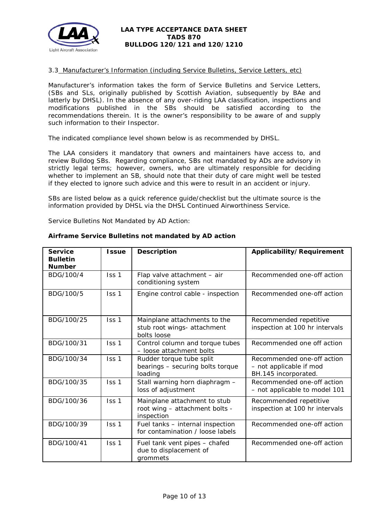

### 3.3 Manufacturer's Information (including Service Bulletins, Service Letters, etc)

Manufacturer's information takes the form of Service Bulletins and Service Letters, (SBs and SLs, originally published by Scottish Aviation, subsequently by BAe and latterly by DHSL). In the absence of any over-riding LAA classification, inspections and modifications published in the SBs should be satisfied according to the recommendations therein. It is the owner's responsibility to be aware of and supply such information to their Inspector.

The indicated compliance level shown below is as recommended by DHSL.

The LAA considers it mandatory that owners and maintainers have access to, and review Bulldog SBs. Regarding compliance, SBs not mandated by ADs are advisory in strictly legal terms; however, owners, who are ultimately responsible for deciding whether to implement an SB, should note that their duty of care might well be tested if they elected to ignore such advice and this were to result in an accident or injury.

SBs are listed below as a quick reference guide/checklist but the ultimate source is the information provided by DHSL via the DHSL Continued Airworthiness Service.

Service Bulletins Not Mandated by AD Action:

| <b>Service</b><br><b>Bulletin</b><br><b>Number</b> | <b>Issue</b> | <b>Description</b>                                                           | Applicability/Requirement                                                     |
|----------------------------------------------------|--------------|------------------------------------------------------------------------------|-------------------------------------------------------------------------------|
| BDG/100/4                                          | Iss 1        | Flap valve attachment - air<br>conditioning system                           | Recommended one-off action                                                    |
| BDG/100/5                                          | Iss 1        | Engine control cable - inspection                                            | Recommended one-off action                                                    |
| BDG/100/25                                         | Iss 1        | Mainplane attachments to the<br>stub root wings- attachment<br>bolts loose   | Recommended repetitive<br>inspection at 100 hr intervals                      |
| BDG/100/31                                         | Iss 1        | Control column and torque tubes<br>- loose attachment bolts                  | Recommended one off action                                                    |
| BDG/100/34                                         | Iss 1        | Rudder torque tube split<br>bearings - securing bolts torque<br>loading      | Recommended one-off action<br>- not applicable if mod<br>BH.145 incorporated. |
| BDG/100/35                                         | Iss 1        | Stall warning horn diaphragm -<br>loss of adjustment                         | Recommended one-off action<br>- not applicable to model 101                   |
| BDG/100/36                                         | Iss 1        | Mainplane attachment to stub<br>root wing - attachment bolts -<br>inspection | Recommended repetitive<br>inspection at 100 hr intervals                      |
| BDG/100/39                                         | Iss 1        | Fuel tanks - internal inspection<br>for contamination / loose labels         | Recommended one-off action                                                    |
| BDG/100/41                                         | Iss 1        | Fuel tank vent pipes - chafed<br>due to displacement of<br>grommets          | Recommended one-off action                                                    |

#### **Airframe Service Bulletins not mandated by AD action**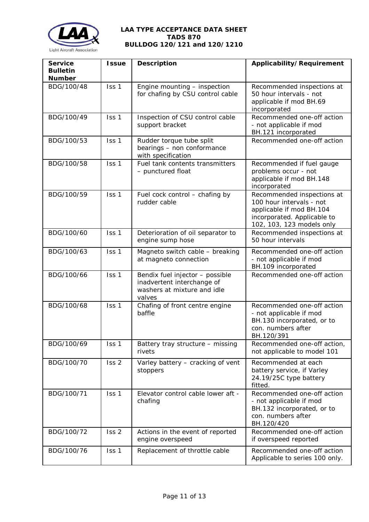

| <b>Service</b><br><b>Bulletin</b><br><b>Number</b> | <b>Issue</b>     | <b>Description</b>                                                                                     | Applicability/Requirement                                                                                                                      |
|----------------------------------------------------|------------------|--------------------------------------------------------------------------------------------------------|------------------------------------------------------------------------------------------------------------------------------------------------|
| BDG/100/48                                         | Iss 1            | Engine mounting - inspection<br>for chafing by CSU control cable                                       | Recommended inspections at<br>50 hour intervals - not<br>applicable if mod BH.69<br>incorporated                                               |
| BDG/100/49                                         | Iss 1            | Inspection of CSU control cable<br>support bracket                                                     | Recommended one-off action<br>- not applicable if mod<br>BH.121 incorporated                                                                   |
| BDG/100/53                                         | Iss 1            | Rudder torque tube split<br>bearings - non conformance<br>with specification                           | Recommended one-off action                                                                                                                     |
| BDG/100/58                                         | Iss 1            | Fuel tank contents transmitters<br>- punctured float                                                   | Recommended if fuel gauge<br>problems occur - not<br>applicable if mod BH.148<br>incorporated                                                  |
| BDG/100/59                                         | Iss <sub>1</sub> | Fuel cock control - chafing by<br>rudder cable                                                         | Recommended inspections at<br>100 hour intervals - not<br>applicable if mod BH.104<br>incorporated. Applicable to<br>102, 103, 123 models only |
| BDG/100/60                                         | Iss 1            | Deterioration of oil separator to<br>engine sump hose                                                  | Recommended inspections at<br>50 hour intervals                                                                                                |
| BDG/100/63                                         | Iss 1            | Magneto switch cable - breaking<br>at magneto connection                                               | Recommended one-off action<br>- not applicable if mod<br>BH.109 incorporated                                                                   |
| BDG/100/66                                         | Iss 1            | Bendix fuel injector - possible<br>inadvertent interchange of<br>washers at mixture and idle<br>valves | Recommended one-off action                                                                                                                     |
| BDG/100/68                                         | Iss 1            | Chafing of front centre engine<br>baffle                                                               | Recommended one-off action<br>- not applicable if mod<br>BH.130 incorporated, or to<br>con. numbers after<br>BH.120/391                        |
| BDG/100/69                                         | Iss 1            | Battery tray structure - missing<br>rivets                                                             | Recommended one-off action,<br>not applicable to model 101                                                                                     |
| BDG/100/70                                         | Iss <sub>2</sub> | Varley battery - cracking of vent<br>stoppers                                                          | Recommended at each<br>battery service, if Varley<br>24.19/25C type battery<br>fitted.                                                         |
| BDG/100/71                                         | Iss 1            | Elevator control cable lower aft -<br>chafing                                                          | Recommended one-off action<br>- not applicable if mod<br>BH.132 incorporated, or to<br>con. numbers after<br>BH.120/420                        |
| BDG/100/72                                         | Iss <sub>2</sub> | Actions in the event of reported<br>engine overspeed                                                   | Recommended one-off action<br>if overspeed reported                                                                                            |
| BDG/100/76                                         | Iss 1            | Replacement of throttle cable                                                                          | Recommended one-off action<br>Applicable to series 100 only.                                                                                   |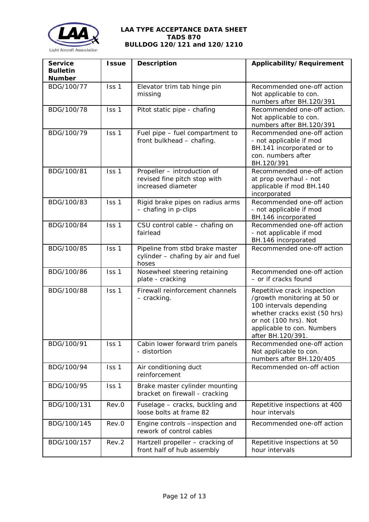

| <b>Service</b><br><b>Bulletin</b><br><b>Number</b> | <b>Issue</b> | <b>Description</b>                                                                | Applicability/Requirement                                                                                                                                                                          |
|----------------------------------------------------|--------------|-----------------------------------------------------------------------------------|----------------------------------------------------------------------------------------------------------------------------------------------------------------------------------------------------|
| BDG/100/77                                         | Iss 1        | Elevator trim tab hinge pin<br>missing                                            | Recommended one-off action<br>Not applicable to con.<br>numbers after BH.120/391                                                                                                                   |
| BDG/100/78                                         | Iss 1        | Pitot static pipe - chafing                                                       | Recommended one-off action.<br>Not applicable to con.<br>numbers after BH.120/391                                                                                                                  |
| BDG/100/79                                         | Iss 1        | Fuel pipe - fuel compartment to<br>front bulkhead - chafing.                      | Recommended one-off action<br>- not applicable if mod<br>BH.141 incorporated or to<br>con. numbers after<br>BH.120/391                                                                             |
| BDG/100/81                                         | Iss 1        | Propeller - introduction of<br>revised fine pitch stop with<br>increased diameter | Recommended one-off action<br>at prop overhaul - not<br>applicable if mod BH.140<br>incorporated                                                                                                   |
| BDG/100/83                                         | Iss 1        | Rigid brake pipes on radius arms<br>- chafing in p-clips                          | Recommended one-off action<br>- not applicable if mod<br>BH.146 incorporated                                                                                                                       |
| BDG/100/84                                         | Iss 1        | CSU control cable - chafing on<br>fairlead                                        | Recommended one-off action<br>- not applicable if mod<br>BH.146 incorporated                                                                                                                       |
| BDG/100/85                                         | Iss 1        | Pipeline from stbd brake master<br>cylinder - chafing by air and fuel<br>hoses    | Recommended one-off action                                                                                                                                                                         |
| BDG/100/86                                         | Iss 1        | Nosewheel steering retaining<br>plate - cracking                                  | Recommended one-off action<br>- or if cracks found                                                                                                                                                 |
| BDG/100/88                                         | Iss 1        | Firewall reinforcement channels<br>- cracking.                                    | Repetitive crack inspection<br>/growth monitoring at 50 or<br>100 intervals depending<br>whether cracks exist (50 hrs)<br>or not (100 hrs). Not<br>applicable to con. Numbers<br>after BH.120/391. |
| BDG/100/91                                         | Iss 1        | Cabin lower forward trim panels<br>- distortion                                   | Recommended one-off action<br>Not applicable to con.<br>numbers after BH.120/405                                                                                                                   |
| BDG/100/94                                         | Iss 1        | Air conditioning duct<br>reinforcement                                            | Recommended on-off action                                                                                                                                                                          |
| BDG/100/95                                         | Iss 1        | Brake master cylinder mounting<br>bracket on firewall - cracking                  |                                                                                                                                                                                                    |
| BDG/100/131                                        | Rev.0        | Fuselage - cracks, buckling and<br>loose bolts at frame 82                        | Repetitive inspections at 400<br>hour intervals                                                                                                                                                    |
| BDG/100/145                                        | Rev.0        | Engine controls -inspection and<br>rework of control cables                       | Recommended one-off action                                                                                                                                                                         |
| BDG/100/157                                        | Rev.2        | Hartzell propeller - cracking of<br>front half of hub assembly                    | Repetitive inspections at 50<br>hour intervals                                                                                                                                                     |